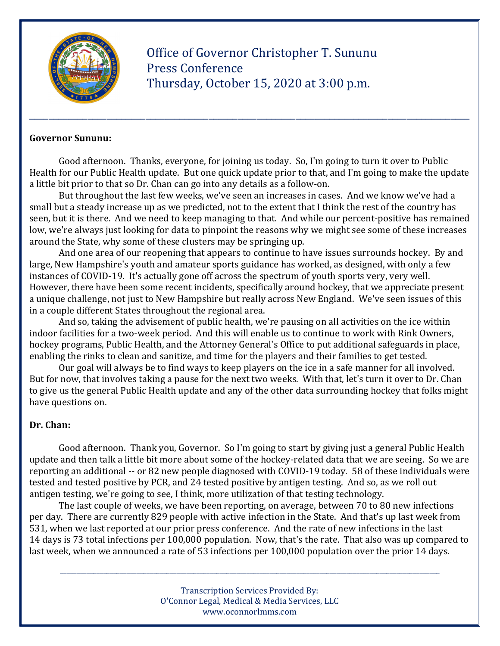

 Office of Governor Christopher T. Sununu Press Conference Thursday, October 15, 2020 at 3:00 p.m.

#### **Governor Sununu:**

 Good afternoon. Thanks, everyone, for joining us today. So, I'm going to turn it over to Public Health for our Public Health update. But one quick update prior to that, and I'm going to make the update a little bit prior to that so Dr. Chan can go into any details as a follow-on.

\_\_\_\_\_\_\_\_\_\_\_\_\_\_\_\_\_\_\_\_\_\_\_\_\_\_\_\_\_\_\_\_\_\_\_\_\_\_\_\_\_\_\_\_\_\_\_\_\_\_\_\_\_\_\_\_\_\_\_\_\_\_\_\_\_\_\_\_\_\_\_\_\_\_\_\_\_\_\_\_\_\_\_\_\_\_\_\_\_\_\_

 But throughout the last few weeks, we've seen an increases in cases. And we know we've had a small but a steady increase up as we predicted, not to the extent that I think the rest of the country has seen, but it is there. And we need to keep managing to that. And while our percent-positive has remained low, we're always just looking for data to pinpoint the reasons why we might see some of these increases around the State, why some of these clusters may be springing up.

 And one area of our reopening that appears to continue to have issues surrounds hockey. By and large, New Hampshire's youth and amateur sports guidance has worked, as designed, with only a few instances of COVID-19. It's actually gone off across the spectrum of youth sports very, very well. However, there have been some recent incidents, specifically around hockey, that we appreciate present a unique challenge, not just to New Hampshire but really across New England. We've seen issues of this in a couple different States throughout the regional area.

 And so, taking the advisement of public health, we're pausing on all activities on the ice within indoor facilities for a two-week period. And this will enable us to continue to work with Rink Owners, hockey programs, Public Health, and the Attorney General's Office to put additional safeguards in place, enabling the rinks to clean and sanitize, and time for the players and their families to get tested.

 Our goal will always be to find ways to keep players on the ice in a safe manner for all involved. But for now, that involves taking a pause for the next two weeks. With that, let's turn it over to Dr. Chan to give us the general Public Health update and any of the other data surrounding hockey that folks might have questions on.

#### **Dr. Chan:**

 Good afternoon. Thank you, Governor. So I'm going to start by giving just a general Public Health update and then talk a little bit more about some of the hockey-related data that we are seeing. So we are reporting an additional -- or 82 new people diagnosed with COVID-19 today. 58 of these individuals were tested and tested positive by PCR, and 24 tested positive by antigen testing. And so, as we roll out antigen testing, we're going to see, I think, more utilization of that testing technology.

 The last couple of weeks, we have been reporting, on average, between 70 to 80 new infections per day. There are currently 829 people with active infection in the State. And that's up last week from 531, when we last reported at our prior press conference. And the rate of new infections in the last 14 days is 73 total infections per 100,000 population. Now, that's the rate. That also was up compared to last week, when we announced a rate of 53 infections per 100,000 population over the prior 14 days.

> Transcription Services Provided By: O'Connor Legal, Medical & Media Services, LLC www.oconnorlmms.com

\_\_\_\_\_\_\_\_\_\_\_\_\_\_\_\_\_\_\_\_\_\_\_\_\_\_\_\_\_\_\_\_\_\_\_\_\_\_\_\_\_\_\_\_\_\_\_\_\_\_\_\_\_\_\_\_\_\_\_\_\_\_\_\_\_\_\_\_\_\_\_\_\_\_\_\_\_\_\_\_\_\_\_\_\_\_\_\_\_\_\_\_\_\_\_\_\_\_\_\_\_\_\_\_\_\_\_\_\_\_\_\_\_\_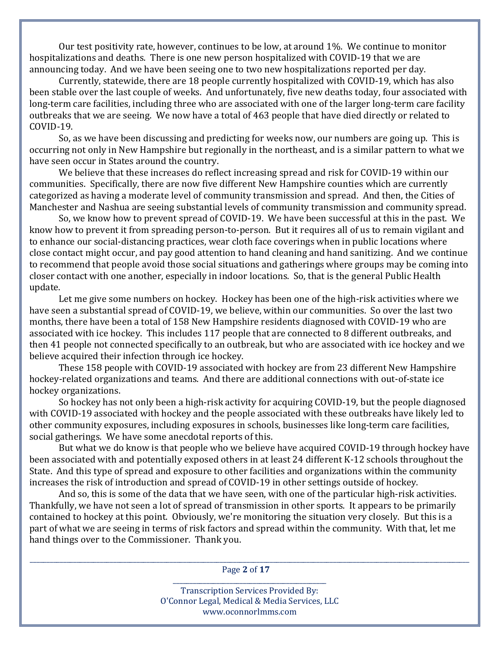Our test positivity rate, however, continues to be low, at around 1%. We continue to monitor hospitalizations and deaths. There is one new person hospitalized with COVID-19 that we are announcing today. And we have been seeing one to two new hospitalizations reported per day.

 Currently, statewide, there are 18 people currently hospitalized with COVID-19, which has also been stable over the last couple of weeks. And unfortunately, five new deaths today, four associated with long-term care facilities, including three who are associated with one of the larger long-term care facility outbreaks that we are seeing. We now have a total of 463 people that have died directly or related to COVID-19.

 So, as we have been discussing and predicting for weeks now, our numbers are going up. This is occurring not only in New Hampshire but regionally in the northeast, and is a similar pattern to what we have seen occur in States around the country.

 We believe that these increases do reflect increasing spread and risk for COVID-19 within our communities. Specifically, there are now five different New Hampshire counties which are currently categorized as having a moderate level of community transmission and spread. And then, the Cities of Manchester and Nashua are seeing substantial levels of community transmission and community spread.

 So, we know how to prevent spread of COVID-19. We have been successful at this in the past. We know how to prevent it from spreading person-to-person. But it requires all of us to remain vigilant and to enhance our social-distancing practices, wear cloth face coverings when in public locations where close contact might occur, and pay good attention to hand cleaning and hand sanitizing. And we continue to recommend that people avoid those social situations and gatherings where groups may be coming into closer contact with one another, especially in indoor locations. So, that is the general Public Health update.

 Let me give some numbers on hockey. Hockey has been one of the high-risk activities where we have seen a substantial spread of COVID-19, we believe, within our communities. So over the last two months, there have been a total of 158 New Hampshire residents diagnosed with COVID-19 who are associated with ice hockey. This includes 117 people that are connected to 8 different outbreaks, and then 41 people not connected specifically to an outbreak, but who are associated with ice hockey and we believe acquired their infection through ice hockey.

 These 158 people with COVID-19 associated with hockey are from 23 different New Hampshire hockey-related organizations and teams. And there are additional connections with out-of-state ice hockey organizations.

 So hockey has not only been a high-risk activity for acquiring COVID-19, but the people diagnosed with COVID-19 associated with hockey and the people associated with these outbreaks have likely led to other community exposures, including exposures in schools, businesses like long-term care facilities, social gatherings. We have some anecdotal reports of this.

 But what we do know is that people who we believe have acquired COVID-19 through hockey have been associated with and potentially exposed others in at least 24 different K-12 schools throughout the State. And this type of spread and exposure to other facilities and organizations within the community increases the risk of introduction and spread of COVID-19 in other settings outside of hockey.

 And so, this is some of the data that we have seen, with one of the particular high-risk activities. Thankfully, we have not seen a lot of spread of transmission in other sports. It appears to be primarily contained to hockey at this point. Obviously, we're monitoring the situation very closely. But this is a part of what we are seeing in terms of risk factors and spread within the community. With that, let me hand things over to the Commissioner. Thank you.

\_\_\_\_\_\_\_\_\_\_\_\_\_\_\_\_\_\_\_\_\_\_\_\_\_\_\_\_\_\_\_\_\_\_\_\_\_\_\_\_\_\_\_\_\_\_\_\_\_\_\_\_\_\_\_\_\_\_\_\_\_\_\_\_\_\_\_\_\_\_\_\_\_\_\_\_\_\_\_\_\_\_\_\_\_\_\_\_\_\_\_\_\_\_\_\_\_\_\_\_\_\_\_\_\_\_\_\_\_\_\_\_\_\_\_\_\_\_\_\_\_\_\_\_\_\_\_\_\_\_\_\_ Page **2** of **17** \_\_\_\_\_\_\_\_\_\_\_\_\_\_\_\_\_\_\_\_\_\_\_\_\_\_\_\_\_\_\_\_\_\_\_\_\_\_\_\_\_\_\_\_\_\_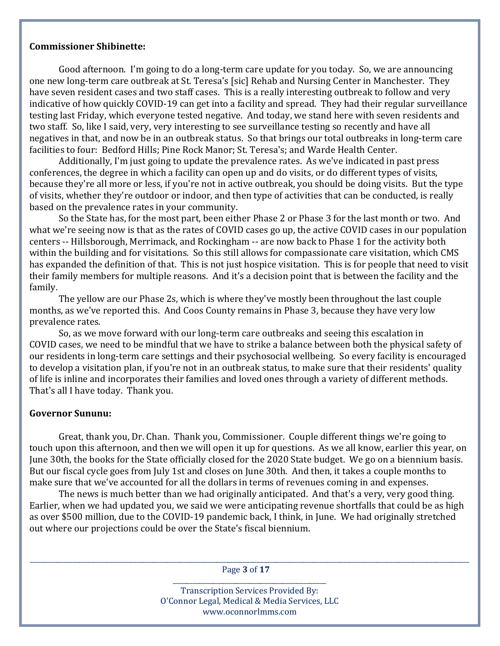#### **Commissioner Shibinette:**

 Good afternoon. I'm going to do a long-term care update for you today. So, we are announcing one new long-term care outbreak at St. Teresa's [sic] Rehab and Nursing Center in Manchester. They have seven resident cases and two staff cases. This is a really interesting outbreak to follow and very indicative of how quickly COVID-19 can get into a facility and spread. They had their regular surveillance testing last Friday, which everyone tested negative. And today, we stand here with seven residents and two staff. So, like I said, very, very interesting to see surveillance testing so recently and have all negatives in that, and now be in an outbreak status. So that brings our total outbreaks in long-term care facilities to four: Bedford Hills; Pine Rock Manor; St. Teresa's; and Warde Health Center.

 Additionally, I'm just going to update the prevalence rates. As we've indicated in past press conferences, the degree in which a facility can open up and do visits, or do different types of visits, because they're all more or less, if you're not in active outbreak, you should be doing visits. But the type of visits, whether they're outdoor or indoor, and then type of activities that can be conducted, is really based on the prevalence rates in your community.

 So the State has, for the most part, been either Phase 2 or Phase 3 for the last month or two. And what we're seeing now is that as the rates of COVID cases go up, the active COVID cases in our population centers -- Hillsborough, Merrimack, and Rockingham -- are now back to Phase 1 for the activity both within the building and for visitations. So this still allows for compassionate care visitation, which CMS has expanded the definition of that. This is not just hospice visitation. This is for people that need to visit their family members for multiple reasons. And it's a decision point that is between the facility and the family.

 The yellow are our Phase 2s, which is where they've mostly been throughout the last couple months, as we've reported this. And Coos County remains in Phase 3, because they have very low prevalence rates.

 So, as we move forward with our long-term care outbreaks and seeing this escalation in COVID cases, we need to be mindful that we have to strike a balance between both the physical safety of our residents in long-term care settings and their psychosocial wellbeing. So every facility is encouraged to develop a visitation plan, if you're not in an outbreak status, to make sure that their residents' quality of life is inline and incorporates their families and loved ones through a variety of different methods. That's all I have today. Thank you.

### **Governor Sununu:**

 Great, thank you, Dr. Chan. Thank you, Commissioner. Couple different things we're going to touch upon this afternoon, and then we will open it up for questions. As we all know, earlier this year, on June 30th, the books for the State officially closed for the 2020 State budget. We go on a biennium basis. But our fiscal cycle goes from July 1st and closes on June 30th. And then, it takes a couple months to make sure that we've accounted for all the dollars in terms of revenues coming in and expenses.

 The news is much better than we had originally anticipated. And that's a very, very good thing. Earlier, when we had updated you, we said we were anticipating revenue shortfalls that could be as high as over \$500 million, due to the COVID-19 pandemic back, I think, in June. We had originally stretched out where our projections could be over the State's fiscal biennium.

\_\_\_\_\_\_\_\_\_\_\_\_\_\_\_\_\_\_\_\_\_\_\_\_\_\_\_\_\_\_\_\_\_\_\_\_\_\_\_\_\_\_\_\_\_\_\_\_\_\_\_\_\_\_\_\_\_\_\_\_\_\_\_\_\_\_\_\_\_\_\_\_\_\_\_\_\_\_\_\_\_\_\_\_\_\_\_\_\_\_\_\_\_\_\_\_\_\_\_\_\_\_\_\_\_\_\_\_\_\_\_\_\_\_\_\_\_\_\_\_\_\_\_\_\_\_\_\_\_\_\_\_ Page **3** of **17** \_\_\_\_\_\_\_\_\_\_\_\_\_\_\_\_\_\_\_\_\_\_\_\_\_\_\_\_\_\_\_\_\_\_\_\_\_\_\_\_\_\_\_\_\_\_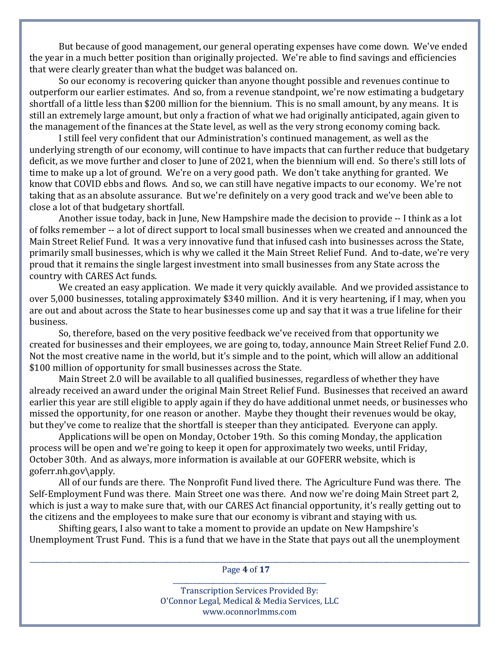But because of good management, our general operating expenses have come down. We've ended the year in a much better position than originally projected. We're able to find savings and efficiencies that were clearly greater than what the budget was balanced on.

 So our economy is recovering quicker than anyone thought possible and revenues continue to outperform our earlier estimates. And so, from a revenue standpoint, we're now estimating a budgetary shortfall of a little less than \$200 million for the biennium. This is no small amount, by any means. It is still an extremely large amount, but only a fraction of what we had originally anticipated, again given to the management of the finances at the State level, as well as the very strong economy coming back.

 I still feel very confident that our Administration's continued management, as well as the underlying strength of our economy, will continue to have impacts that can further reduce that budgetary deficit, as we move further and closer to June of 2021, when the biennium will end. So there's still lots of time to make up a lot of ground. We're on a very good path. We don't take anything for granted. We know that COVID ebbs and flows. And so, we can still have negative impacts to our economy. We're not taking that as an absolute assurance. But we're definitely on a very good track and we've been able to close a lot of that budgetary shortfall.

 Another issue today, back in June, New Hampshire made the decision to provide -- I think as a lot of folks remember -- a lot of direct support to local small businesses when we created and announced the Main Street Relief Fund. It was a very innovative fund that infused cash into businesses across the State, primarily small businesses, which is why we called it the Main Street Relief Fund. And to-date, we're very proud that it remains the single largest investment into small businesses from any State across the country with CARES Act funds.

 We created an easy application. We made it very quickly available. And we provided assistance to over 5,000 businesses, totaling approximately \$340 million. And it is very heartening, if I may, when you are out and about across the State to hear businesses come up and say that it was a true lifeline for their business.

 So, therefore, based on the very positive feedback we've received from that opportunity we created for businesses and their employees, we are going to, today, announce Main Street Relief Fund 2.0. Not the most creative name in the world, but it's simple and to the point, which will allow an additional \$100 million of opportunity for small businesses across the State.

 Main Street 2.0 will be available to all qualified businesses, regardless of whether they have already received an award under the original Main Street Relief Fund. Businesses that received an award earlier this year are still eligible to apply again if they do have additional unmet needs, or businesses who missed the opportunity, for one reason or another. Maybe they thought their revenues would be okay, but they've come to realize that the shortfall is steeper than they anticipated. Everyone can apply.

 Applications will be open on Monday, October 19th. So this coming Monday, the application process will be open and we're going to keep it open for approximately two weeks, until Friday, October 30th. And as always, more information is available at our GOFERR website, which is goferr.nh.gov\apply.

 All of our funds are there. The Nonprofit Fund lived there. The Agriculture Fund was there. The Self-Employment Fund was there. Main Street one was there. And now we're doing Main Street part 2, which is just a way to make sure that, with our CARES Act financial opportunity, it's really getting out to the citizens and the employees to make sure that our economy is vibrant and staying with us.

 Shifting gears, I also want to take a moment to provide an update on New Hampshire's Unemployment Trust Fund. This is a fund that we have in the State that pays out all the unemployment

\_\_\_\_\_\_\_\_\_\_\_\_\_\_\_\_\_\_\_\_\_\_\_\_\_\_\_\_\_\_\_\_\_\_\_\_\_\_\_\_\_\_\_\_\_\_\_\_\_\_\_\_\_\_\_\_\_\_\_\_\_\_\_\_\_\_\_\_\_\_\_\_\_\_\_\_\_\_\_\_\_\_\_\_\_\_\_\_\_\_\_\_\_\_\_\_\_\_\_\_\_\_\_\_\_\_\_\_\_\_\_\_\_\_\_\_\_\_\_\_\_\_\_\_\_\_\_\_\_\_\_\_ Page **4** of **17** \_\_\_\_\_\_\_\_\_\_\_\_\_\_\_\_\_\_\_\_\_\_\_\_\_\_\_\_\_\_\_\_\_\_\_\_\_\_\_\_\_\_\_\_\_\_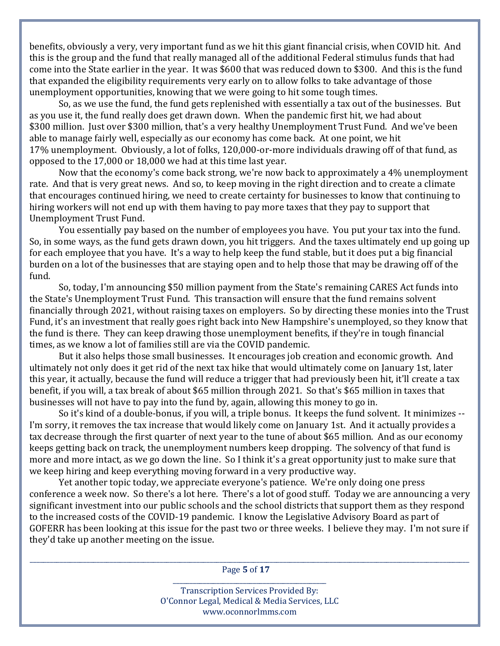benefits, obviously a very, very important fund as we hit this giant financial crisis, when COVID hit. And this is the group and the fund that really managed all of the additional Federal stimulus funds that had come into the State earlier in the year. It was \$600 that was reduced down to \$300. And this is the fund that expanded the eligibility requirements very early on to allow folks to take advantage of those unemployment opportunities, knowing that we were going to hit some tough times.

 So, as we use the fund, the fund gets replenished with essentially a tax out of the businesses. But as you use it, the fund really does get drawn down. When the pandemic first hit, we had about \$300 million. Just over \$300 million, that's a very healthy Unemployment Trust Fund. And we've been able to manage fairly well, especially as our economy has come back. At one point, we hit 17% unemployment. Obviously, a lot of folks, 120,000-or-more individuals drawing off of that fund, as opposed to the 17,000 or 18,000 we had at this time last year.

 Now that the economy's come back strong, we're now back to approximately a 4% unemployment rate. And that is very great news. And so, to keep moving in the right direction and to create a climate that encourages continued hiring, we need to create certainty for businesses to know that continuing to hiring workers will not end up with them having to pay more taxes that they pay to support that Unemployment Trust Fund.

 You essentially pay based on the number of employees you have. You put your tax into the fund. So, in some ways, as the fund gets drawn down, you hit triggers. And the taxes ultimately end up going up for each employee that you have. It's a way to help keep the fund stable, but it does put a big financial burden on a lot of the businesses that are staying open and to help those that may be drawing off of the fund.

 So, today, I'm announcing \$50 million payment from the State's remaining CARES Act funds into the State's Unemployment Trust Fund. This transaction will ensure that the fund remains solvent financially through 2021, without raising taxes on employers. So by directing these monies into the Trust Fund, it's an investment that really goes right back into New Hampshire's unemployed, so they know that the fund is there. They can keep drawing those unemployment benefits, if they're in tough financial times, as we know a lot of families still are via the COVID pandemic.

 But it also helps those small businesses. It encourages job creation and economic growth. And ultimately not only does it get rid of the next tax hike that would ultimately come on January 1st, later this year, it actually, because the fund will reduce a trigger that had previously been hit, it'll create a tax benefit, if you will, a tax break of about \$65 million through 2021. So that's \$65 million in taxes that businesses will not have to pay into the fund by, again, allowing this money to go in.

 So it's kind of a double-bonus, if you will, a triple bonus. It keeps the fund solvent. It minimizes -- I'm sorry, it removes the tax increase that would likely come on January 1st. And it actually provides a tax decrease through the first quarter of next year to the tune of about \$65 million. And as our economy keeps getting back on track, the unemployment numbers keep dropping. The solvency of that fund is more and more intact, as we go down the line. So I think it's a great opportunity just to make sure that we keep hiring and keep everything moving forward in a very productive way.

 Yet another topic today, we appreciate everyone's patience. We're only doing one press conference a week now. So there's a lot here. There's a lot of good stuff. Today we are announcing a very significant investment into our public schools and the school districts that support them as they respond to the increased costs of the COVID-19 pandemic. I know the Legislative Advisory Board as part of GOFERR has been looking at this issue for the past two or three weeks. I believe they may. I'm not sure if they'd take up another meeting on the issue.

\_\_\_\_\_\_\_\_\_\_\_\_\_\_\_\_\_\_\_\_\_\_\_\_\_\_\_\_\_\_\_\_\_\_\_\_\_\_\_\_\_\_\_\_\_\_\_\_\_\_\_\_\_\_\_\_\_\_\_\_\_\_\_\_\_\_\_\_\_\_\_\_\_\_\_\_\_\_\_\_\_\_\_\_\_\_\_\_\_\_\_\_\_\_\_\_\_\_\_\_\_\_\_\_\_\_\_\_\_\_\_\_\_\_\_\_\_\_\_\_\_\_\_\_\_\_\_\_\_\_\_\_ Page **5** of **17** \_\_\_\_\_\_\_\_\_\_\_\_\_\_\_\_\_\_\_\_\_\_\_\_\_\_\_\_\_\_\_\_\_\_\_\_\_\_\_\_\_\_\_\_\_\_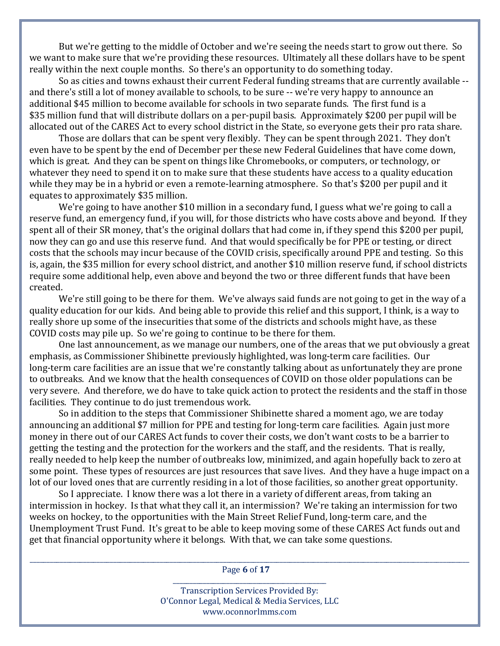But we're getting to the middle of October and we're seeing the needs start to grow out there. So we want to make sure that we're providing these resources. Ultimately all these dollars have to be spent really within the next couple months. So there's an opportunity to do something today.

 So as cities and towns exhaust their current Federal funding streams that are currently available - and there's still a lot of money available to schools, to be sure -- we're very happy to announce an additional \$45 million to become available for schools in two separate funds. The first fund is a \$35 million fund that will distribute dollars on a per-pupil basis. Approximately \$200 per pupil will be allocated out of the CARES Act to every school district in the State, so everyone gets their pro rata share.

 Those are dollars that can be spent very flexibly. They can be spent through 2021. They don't even have to be spent by the end of December per these new Federal Guidelines that have come down, which is great. And they can be spent on things like Chromebooks, or computers, or technology, or whatever they need to spend it on to make sure that these students have access to a quality education while they may be in a hybrid or even a remote-learning atmosphere. So that's \$200 per pupil and it equates to approximately \$35 million.

 We're going to have another \$10 million in a secondary fund, I guess what we're going to call a reserve fund, an emergency fund, if you will, for those districts who have costs above and beyond. If they spent all of their SR money, that's the original dollars that had come in, if they spend this \$200 per pupil, now they can go and use this reserve fund. And that would specifically be for PPE or testing, or direct costs that the schools may incur because of the COVID crisis, specifically around PPE and testing. So this is, again, the \$35 million for every school district, and another \$10 million reserve fund, if school districts require some additional help, even above and beyond the two or three different funds that have been created.

 We're still going to be there for them. We've always said funds are not going to get in the way of a quality education for our kids. And being able to provide this relief and this support, I think, is a way to really shore up some of the insecurities that some of the districts and schools might have, as these COVID costs may pile up. So we're going to continue to be there for them.

 One last announcement, as we manage our numbers, one of the areas that we put obviously a great emphasis, as Commissioner Shibinette previously highlighted, was long-term care facilities. Our long-term care facilities are an issue that we're constantly talking about as unfortunately they are prone to outbreaks. And we know that the health consequences of COVID on those older populations can be very severe. And therefore, we do have to take quick action to protect the residents and the staff in those facilities. They continue to do just tremendous work.

 So in addition to the steps that Commissioner Shibinette shared a moment ago, we are today announcing an additional \$7 million for PPE and testing for long-term care facilities. Again just more money in there out of our CARES Act funds to cover their costs, we don't want costs to be a barrier to getting the testing and the protection for the workers and the staff, and the residents. That is really, really needed to help keep the number of outbreaks low, minimized, and again hopefully back to zero at some point. These types of resources are just resources that save lives. And they have a huge impact on a lot of our loved ones that are currently residing in a lot of those facilities, so another great opportunity.

 So I appreciate. I know there was a lot there in a variety of different areas, from taking an intermission in hockey. Is that what they call it, an intermission? We're taking an intermission for two weeks on hockey, to the opportunities with the Main Street Relief Fund, long-term care, and the Unemployment Trust Fund. It's great to be able to keep moving some of these CARES Act funds out and get that financial opportunity where it belongs. With that, we can take some questions.

\_\_\_\_\_\_\_\_\_\_\_\_\_\_\_\_\_\_\_\_\_\_\_\_\_\_\_\_\_\_\_\_\_\_\_\_\_\_\_\_\_\_\_\_\_\_\_\_\_\_\_\_\_\_\_\_\_\_\_\_\_\_\_\_\_\_\_\_\_\_\_\_\_\_\_\_\_\_\_\_\_\_\_\_\_\_\_\_\_\_\_\_\_\_\_\_\_\_\_\_\_\_\_\_\_\_\_\_\_\_\_\_\_\_\_\_\_\_\_\_\_\_\_\_\_\_\_\_\_\_\_\_ Page **6** of **17** \_\_\_\_\_\_\_\_\_\_\_\_\_\_\_\_\_\_\_\_\_\_\_\_\_\_\_\_\_\_\_\_\_\_\_\_\_\_\_\_\_\_\_\_\_\_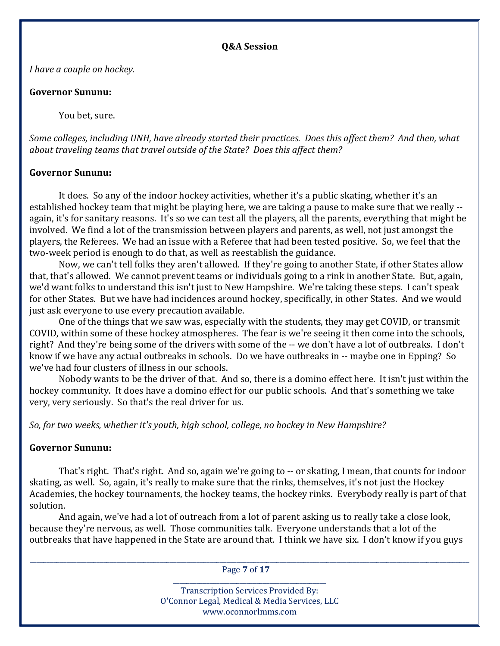#### **Q&A Session**

*I have a couple on hockey.*

## **Governor Sununu:**

You bet, sure.

Some colleges, including UNH, have already started their practices. Does this affect them? And then, what *about traveling teams that travel outside of the State? Does this affect them?*

## **Governor Sununu:**

 It does. So any of the indoor hockey activities, whether it's a public skating, whether it's an established hockey team that might be playing here, we are taking a pause to make sure that we really - again, it's for sanitary reasons. It's so we can test all the players, all the parents, everything that might be involved. We find a lot of the transmission between players and parents, as well, not just amongst the players, the Referees. We had an issue with a Referee that had been tested positive. So, we feel that the two-week period is enough to do that, as well as reestablish the guidance.

 Now, we can't tell folks they aren't allowed. If they're going to another State, if other States allow that, that's allowed. We cannot prevent teams or individuals going to a rink in another State. But, again, we'd want folks to understand this isn't just to New Hampshire. We're taking these steps. I can't speak for other States. But we have had incidences around hockey, specifically, in other States. And we would just ask everyone to use every precaution available.

 One of the things that we saw was, especially with the students, they may get COVID, or transmit COVID, within some of these hockey atmospheres. The fear is we're seeing it then come into the schools, right? And they're being some of the drivers with some of the -- we don't have a lot of outbreaks. I don't know if we have any actual outbreaks in schools. Do we have outbreaks in -- maybe one in Epping? So we've had four clusters of illness in our schools.

 Nobody wants to be the driver of that. And so, there is a domino effect here. It isn't just within the hockey community. It does have a domino effect for our public schools. And that's something we take very, very seriously. So that's the real driver for us.

*So, for two weeks, whether it's youth, high school, college, no hockey in New Hampshire?*

# **Governor Sununu:**

 That's right. That's right. And so, again we're going to -- or skating, I mean, that counts for indoor skating, as well. So, again, it's really to make sure that the rinks, themselves, it's not just the Hockey Academies, the hockey tournaments, the hockey teams, the hockey rinks. Everybody really is part of that solution.

 And again, we've had a lot of outreach from a lot of parent asking us to really take a close look, because they're nervous, as well. Those communities talk. Everyone understands that a lot of the outbreaks that have happened in the State are around that. I think we have six. I don't know if you guys

\_\_\_\_\_\_\_\_\_\_\_\_\_\_\_\_\_\_\_\_\_\_\_\_\_\_\_\_\_\_\_\_\_\_\_\_\_\_\_\_\_\_\_\_\_\_\_\_\_\_\_\_\_\_\_\_\_\_\_\_\_\_\_\_\_\_\_\_\_\_\_\_\_\_\_\_\_\_\_\_\_\_\_\_\_\_\_\_\_\_\_\_\_\_\_\_\_\_\_\_\_\_\_\_\_\_\_\_\_\_\_\_\_\_\_\_\_\_\_\_\_\_\_\_\_\_\_\_\_\_\_\_ Page **7** of **17**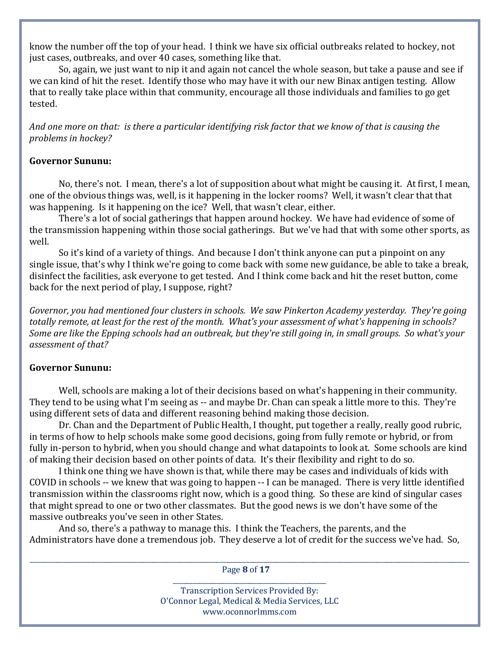know the number off the top of your head. I think we have six official outbreaks related to hockey, not just cases, outbreaks, and over 40 cases, something like that.

 So, again, we just want to nip it and again not cancel the whole season, but take a pause and see if we can kind of hit the reset. Identify those who may have it with our new Binax antigen testing. Allow that to really take place within that community, encourage all those individuals and families to go get tested.

And one more on that: is there a particular identifying risk factor that we know of that is causing the *problems in hockey?*

## **Governor Sununu:**

 No, there's not. I mean, there's a lot of supposition about what might be causing it. At first, I mean, one of the obvious things was, well, is it happening in the locker rooms? Well, it wasn't clear that that was happening. Is it happening on the ice? Well, that wasn't clear, either.

 There's a lot of social gatherings that happen around hockey. We have had evidence of some of the transmission happening within those social gatherings. But we've had that with some other sports, as well.

 So it's kind of a variety of things. And because I don't think anyone can put a pinpoint on any single issue, that's why I think we're going to come back with some new guidance, be able to take a break, disinfect the facilities, ask everyone to get tested. And I think come back and hit the reset button, come back for the next period of play, I suppose, right?

*Governor, you had mentioned four clusters in schools. We saw Pinkerton Academy yesterday. They're going* totally remote, at least for the rest of the month. What's your assessment of what's happening in schools? Some are like the Epping schools had an outbreak, but they're still going in, in small groups. So what's your *assessment of that?*

# **Governor Sununu:**

 Well, schools are making a lot of their decisions based on what's happening in their community. They tend to be using what I'm seeing as -- and maybe Dr. Chan can speak a little more to this. They're using different sets of data and different reasoning behind making those decision.

 Dr. Chan and the Department of Public Health, I thought, put together a really, really good rubric, in terms of how to help schools make some good decisions, going from fully remote or hybrid, or from fully in-person to hybrid, when you should change and what datapoints to look at. Some schools are kind of making their decision based on other points of data. It's their flexibility and right to do so.

 I think one thing we have shown is that, while there may be cases and individuals of kids with COVID in schools -- we knew that was going to happen -- I can be managed. There is very little identified transmission within the classrooms right now, which is a good thing. So these are kind of singular cases that might spread to one or two other classmates. But the good news is we don't have some of the massive outbreaks you've seen in other States.

 And so, there's a pathway to manage this. I think the Teachers, the parents, and the Administrators have done a tremendous job. They deserve a lot of credit for the success we've had. So,

\_\_\_\_\_\_\_\_\_\_\_\_\_\_\_\_\_\_\_\_\_\_\_\_\_\_\_\_\_\_\_\_\_\_\_\_\_\_\_\_\_\_\_\_\_\_\_\_\_\_\_\_\_\_\_\_\_\_\_\_\_\_\_\_\_\_\_\_\_\_\_\_\_\_\_\_\_\_\_\_\_\_\_\_\_\_\_\_\_\_\_\_\_\_\_\_\_\_\_\_\_\_\_\_\_\_\_\_\_\_\_\_\_\_\_\_\_\_\_\_\_\_\_\_\_\_\_\_\_\_\_\_ Page **8** of **17**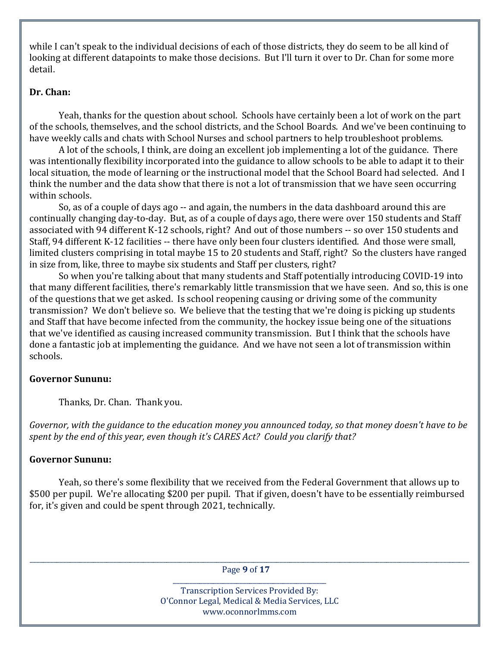while I can't speak to the individual decisions of each of those districts, they do seem to be all kind of looking at different datapoints to make those decisions. But I'll turn it over to Dr. Chan for some more detail.

## **Dr. Chan:**

 Yeah, thanks for the question about school. Schools have certainly been a lot of work on the part of the schools, themselves, and the school districts, and the School Boards. And we've been continuing to have weekly calls and chats with School Nurses and school partners to help troubleshoot problems.

 A lot of the schools, I think, are doing an excellent job implementing a lot of the guidance. There was intentionally flexibility incorporated into the guidance to allow schools to be able to adapt it to their local situation, the mode of learning or the instructional model that the School Board had selected. And I think the number and the data show that there is not a lot of transmission that we have seen occurring within schools.

 So, as of a couple of days ago -- and again, the numbers in the data dashboard around this are continually changing day-to-day. But, as of a couple of days ago, there were over 150 students and Staff associated with 94 different K-12 schools, right? And out of those numbers -- so over 150 students and Staff, 94 different K-12 facilities -- there have only been four clusters identified. And those were small, limited clusters comprising in total maybe 15 to 20 students and Staff, right? So the clusters have ranged in size from, like, three to maybe six students and Staff per clusters, right?

 So when you're talking about that many students and Staff potentially introducing COVID-19 into that many different facilities, there's remarkably little transmission that we have seen. And so, this is one of the questions that we get asked. Is school reopening causing or driving some of the community transmission? We don't believe so. We believe that the testing that we're doing is picking up students and Staff that have become infected from the community, the hockey issue being one of the situations that we've identified as causing increased community transmission. But I think that the schools have done a fantastic job at implementing the guidance. And we have not seen a lot of transmission within schools.

### **Governor Sununu:**

Thanks, Dr. Chan. Thank you.

Governor, with the guidance to the education money you announced today, so that money doesn't have to be *spent by the end of this year, even though it's CARES Act? Could you clarify that?*

# **Governor Sununu:**

 Yeah, so there's some flexibility that we received from the Federal Government that allows up to \$500 per pupil. We're allocating \$200 per pupil. That if given, doesn't have to be essentially reimbursed for, it's given and could be spent through 2021, technically.

\_\_\_\_\_\_\_\_\_\_\_\_\_\_\_\_\_\_\_\_\_\_\_\_\_\_\_\_\_\_\_\_\_\_\_\_\_\_\_\_\_\_\_\_\_\_\_\_\_\_\_\_\_\_\_\_\_\_\_\_\_\_\_\_\_\_\_\_\_\_\_\_\_\_\_\_\_\_\_\_\_\_\_\_\_\_\_\_\_\_\_\_\_\_\_\_\_\_\_\_\_\_\_\_\_\_\_\_\_\_\_\_\_\_\_\_\_\_\_\_\_\_\_\_\_\_\_\_\_\_\_\_ Page **9** of **17**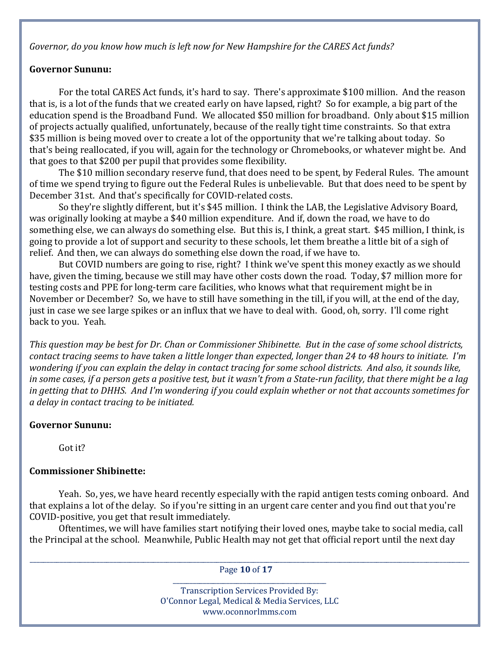*Governor, do you know how much is left now for New Hampshire for the CARES Act funds?*

## **Governor Sununu:**

 For the total CARES Act funds, it's hard to say. There's approximate \$100 million. And the reason that is, is a lot of the funds that we created early on have lapsed, right? So for example, a big part of the education spend is the Broadband Fund. We allocated \$50 million for broadband. Only about \$15 million of projects actually qualified, unfortunately, because of the really tight time constraints. So that extra \$35 million is being moved over to create a lot of the opportunity that we're talking about today. So that's being reallocated, if you will, again for the technology or Chromebooks, or whatever might be. And that goes to that \$200 per pupil that provides some flexibility.

 The \$10 million secondary reserve fund, that does need to be spent, by Federal Rules. The amount of time we spend trying to figure out the Federal Rules is unbelievable. But that does need to be spent by December 31st. And that's specifically for COVID-related costs.

 So they're slightly different, but it's \$45 million. I think the LAB, the Legislative Advisory Board, was originally looking at maybe a \$40 million expenditure. And if, down the road, we have to do something else, we can always do something else. But this is, I think, a great start. \$45 million, I think, is going to provide a lot of support and security to these schools, let them breathe a little bit of a sigh of relief. And then, we can always do something else down the road, if we have to.

 But COVID numbers are going to rise, right? I think we've spent this money exactly as we should have, given the timing, because we still may have other costs down the road. Today, \$7 million more for testing costs and PPE for long-term care facilities, who knows what that requirement might be in November or December? So, we have to still have something in the till, if you will, at the end of the day, just in case we see large spikes or an influx that we have to deal with. Good, oh, sorry. I'll come right back to you. Yeah.

This question may be best for Dr. Chan or Commissioner Shibinette. But in the case of some school districts, contact tracing seems to have taken a little longer than expected, longer than 24 to 48 hours to initiate. I'm wondering if you can explain the delay in contact tracing for some school districts. And also, it sounds like, in some cases, if a person gets a positive test, but it wasn't from a State-run facility, that there might be a lag in getting that to DHHS. And I'm wondering if you could explain whether or not that accounts sometimes for *a delay in contact tracing to be initiated.*

# **Governor Sununu:**

Got it?

# **Commissioner Shibinette:**

 Yeah. So, yes, we have heard recently especially with the rapid antigen tests coming onboard. And that explains a lot of the delay. So if you're sitting in an urgent care center and you find out that you're COVID-positive, you get that result immediately.

 Oftentimes, we will have families start notifying their loved ones, maybe take to social media, call the Principal at the school. Meanwhile, Public Health may not get that official report until the next day

\_\_\_\_\_\_\_\_\_\_\_\_\_\_\_\_\_\_\_\_\_\_\_\_\_\_\_\_\_\_\_\_\_\_\_\_\_\_\_\_\_\_\_\_\_\_\_\_\_\_\_\_\_\_\_\_\_\_\_\_\_\_\_\_\_\_\_\_\_\_\_\_\_\_\_\_\_\_\_\_\_\_\_\_\_\_\_\_\_\_\_\_\_\_\_\_\_\_\_\_\_\_\_\_\_\_\_\_\_\_\_\_\_\_\_\_\_\_\_\_\_\_\_\_\_\_\_\_\_\_\_\_ Page **10** of **17**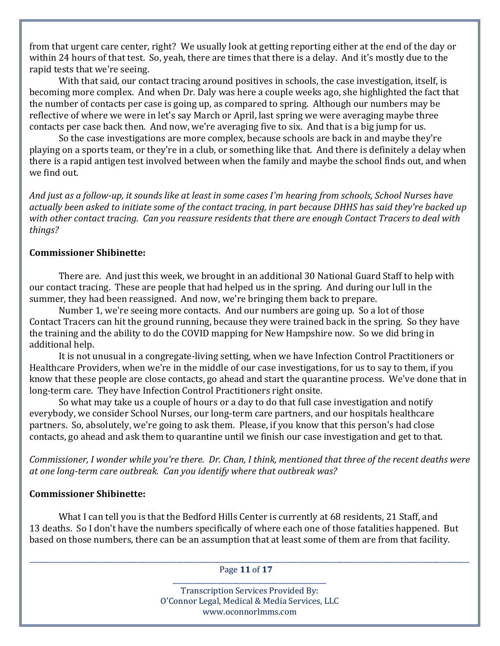from that urgent care center, right? We usually look at getting reporting either at the end of the day or within 24 hours of that test. So, yeah, there are times that there is a delay. And it's mostly due to the rapid tests that we're seeing.

 With that said, our contact tracing around positives in schools, the case investigation, itself, is becoming more complex. And when Dr. Daly was here a couple weeks ago, she highlighted the fact that the number of contacts per case is going up, as compared to spring. Although our numbers may be reflective of where we were in let's say March or April, last spring we were averaging maybe three contacts per case back then. And now, we're averaging five to six. And that is a big jump for us.

 So the case investigations are more complex, because schools are back in and maybe they're playing on a sports team, or they're in a club, or something like that. And there is definitely a delay when there is a rapid antigen test involved between when the family and maybe the school finds out, and when we find out.

And just as a follow-up, it sounds like at least in some cases I'm hearing from schools, School Nurses have actually been asked to initiate some of the contact tracing, in part because DHHS has said they're backed up with other contact tracing. Can you reassure residents that there are enough Contact Tracers to deal with *things?*

### **Commissioner Shibinette:**

 There are. And just this week, we brought in an additional 30 National Guard Staff to help with our contact tracing. These are people that had helped us in the spring. And during our lull in the summer, they had been reassigned. And now, we're bringing them back to prepare.

 Number 1, we're seeing more contacts. And our numbers are going up. So a lot of those Contact Tracers can hit the ground running, because they were trained back in the spring. So they have the training and the ability to do the COVID mapping for New Hampshire now. So we did bring in additional help.

 It is not unusual in a congregate-living setting, when we have Infection Control Practitioners or Healthcare Providers, when we're in the middle of our case investigations, for us to say to them, if you know that these people are close contacts, go ahead and start the quarantine process. We've done that in long-term care. They have Infection Control Practitioners right onsite.

 So what may take us a couple of hours or a day to do that full case investigation and notify everybody, we consider School Nurses, our long-term care partners, and our hospitals healthcare partners. So, absolutely, we're going to ask them. Please, if you know that this person's had close contacts, go ahead and ask them to quarantine until we finish our case investigation and get to that.

Commissioner, I wonder while you're there. Dr. Chan, I think, mentioned that three of the recent deaths were *at one long‐term care outbreak. Can you identify where that outbreak was?*

#### **Commissioner Shibinette:**

 What I can tell you is that the Bedford Hills Center is currently at 68 residents, 21 Staff, and 13 deaths. So I don't have the numbers specifically of where each one of those fatalities happened. But based on those numbers, there can be an assumption that at least some of them are from that facility.

\_\_\_\_\_\_\_\_\_\_\_\_\_\_\_\_\_\_\_\_\_\_\_\_\_\_\_\_\_\_\_\_\_\_\_\_\_\_\_\_\_\_\_\_\_\_\_\_\_\_\_\_\_\_\_\_\_\_\_\_\_\_\_\_\_\_\_\_\_\_\_\_\_\_\_\_\_\_\_\_\_\_\_\_\_\_\_\_\_\_\_\_\_\_\_\_\_\_\_\_\_\_\_\_\_\_\_\_\_\_\_\_\_\_\_\_\_\_\_\_\_\_\_\_\_\_\_\_\_\_\_\_ Page **11** of **17**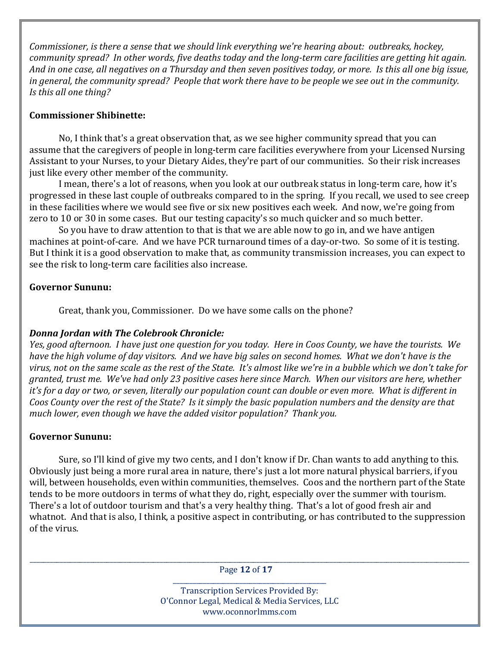*Commissioner, is there a sense that we should link everything we're hearing about: outbreaks, hockey,* community spread? In other words, five deaths today and the long-term care facilities are getting hit again. And in one case, all negatives on a Thursday and then seven positives today, or more. Is this all one big issue, in general, the community spread? People that work there have to be people we see out in the community. *Is this all one thing?*

## **Commissioner Shibinette:**

 No, I think that's a great observation that, as we see higher community spread that you can assume that the caregivers of people in long-term care facilities everywhere from your Licensed Nursing Assistant to your Nurses, to your Dietary Aides, they're part of our communities. So their risk increases just like every other member of the community.

 I mean, there's a lot of reasons, when you look at our outbreak status in long-term care, how it's progressed in these last couple of outbreaks compared to in the spring. If you recall, we used to see creep in these facilities where we would see five or six new positives each week. And now, we're going from zero to 10 or 30 in some cases. But our testing capacity's so much quicker and so much better.

 So you have to draw attention to that is that we are able now to go in, and we have antigen machines at point-of-care. And we have PCR turnaround times of a day-or-two. So some of it is testing. But I think it is a good observation to make that, as community transmission increases, you can expect to see the risk to long-term care facilities also increase.

# **Governor Sununu:**

Great, thank you, Commissioner. Do we have some calls on the phone?

# *Donna Jordan with The Colebrook Chronicle:*

Yes, good afternoon. I have just one question for you today. Here in Coos County, we have the tourists. We have the high volume of day visitors. And we have big sales on second homes. What we don't have is the virus, not on the same scale as the rest of the State. It's almost like we're in a bubble which we don't take for granted, trust me. We've had only 23 positive cases here since March. When our visitors are here, whether it's for a day or two, or seven, literally our population count can double or even more. What is different in Coos County over the rest of the State? Is it simply the basic population numbers and the density are that *much lower, even though we have the added visitor population? Thank you.*

# **Governor Sununu:**

 Sure, so I'll kind of give my two cents, and I don't know if Dr. Chan wants to add anything to this. Obviously just being a more rural area in nature, there's just a lot more natural physical barriers, if you will, between households, even within communities, themselves. Coos and the northern part of the State tends to be more outdoors in terms of what they do, right, especially over the summer with tourism. There's a lot of outdoor tourism and that's a very healthy thing. That's a lot of good fresh air and whatnot. And that is also, I think, a positive aspect in contributing, or has contributed to the suppression of the virus.

\_\_\_\_\_\_\_\_\_\_\_\_\_\_\_\_\_\_\_\_\_\_\_\_\_\_\_\_\_\_\_\_\_\_\_\_\_\_\_\_\_\_\_\_\_\_\_\_\_\_\_\_\_\_\_\_\_\_\_\_\_\_\_\_\_\_\_\_\_\_\_\_\_\_\_\_\_\_\_\_\_\_\_\_\_\_\_\_\_\_\_\_\_\_\_\_\_\_\_\_\_\_\_\_\_\_\_\_\_\_\_\_\_\_\_\_\_\_\_\_\_\_\_\_\_\_\_\_\_\_\_\_ Page **12** of **17**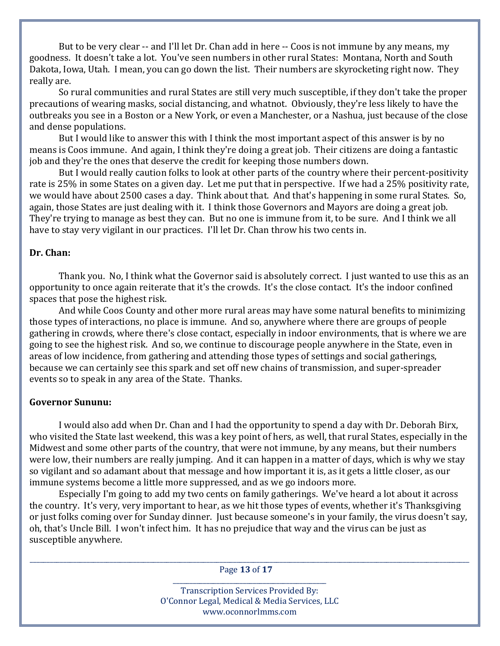But to be very clear -- and I'll let Dr. Chan add in here -- Coos is not immune by any means, my goodness. It doesn't take a lot. You've seen numbers in other rural States: Montana, North and South Dakota, Iowa, Utah. I mean, you can go down the list. Their numbers are skyrocketing right now. They really are.

 So rural communities and rural States are still very much susceptible, if they don't take the proper precautions of wearing masks, social distancing, and whatnot. Obviously, they're less likely to have the outbreaks you see in a Boston or a New York, or even a Manchester, or a Nashua, just because of the close and dense populations.

 But I would like to answer this with I think the most important aspect of this answer is by no means is Coos immune. And again, I think they're doing a great job. Their citizens are doing a fantastic job and they're the ones that deserve the credit for keeping those numbers down.

 But I would really caution folks to look at other parts of the country where their percent-positivity rate is 25% in some States on a given day. Let me put that in perspective. If we had a 25% positivity rate, we would have about 2500 cases a day. Think about that. And that's happening in some rural States. So, again, those States are just dealing with it. I think those Governors and Mayors are doing a great job. They're trying to manage as best they can. But no one is immune from it, to be sure. And I think we all have to stay very vigilant in our practices. I'll let Dr. Chan throw his two cents in.

### **Dr. Chan:**

 Thank you. No, I think what the Governor said is absolutely correct. I just wanted to use this as an opportunity to once again reiterate that it's the crowds. It's the close contact. It's the indoor confined spaces that pose the highest risk.

 And while Coos County and other more rural areas may have some natural benefits to minimizing those types of interactions, no place is immune. And so, anywhere where there are groups of people gathering in crowds, where there's close contact, especially in indoor environments, that is where we are going to see the highest risk. And so, we continue to discourage people anywhere in the State, even in areas of low incidence, from gathering and attending those types of settings and social gatherings, because we can certainly see this spark and set off new chains of transmission, and super-spreader events so to speak in any area of the State. Thanks.

#### **Governor Sununu:**

 I would also add when Dr. Chan and I had the opportunity to spend a day with Dr. Deborah Birx, who visited the State last weekend, this was a key point of hers, as well, that rural States, especially in the Midwest and some other parts of the country, that were not immune, by any means, but their numbers were low, their numbers are really jumping. And it can happen in a matter of days, which is why we stay so vigilant and so adamant about that message and how important it is, as it gets a little closer, as our immune systems become a little more suppressed, and as we go indoors more.

 Especially I'm going to add my two cents on family gatherings. We've heard a lot about it across the country. It's very, very important to hear, as we hit those types of events, whether it's Thanksgiving or just folks coming over for Sunday dinner. Just because someone's in your family, the virus doesn't say, oh, that's Uncle Bill. I won't infect him. It has no prejudice that way and the virus can be just as susceptible anywhere.

\_\_\_\_\_\_\_\_\_\_\_\_\_\_\_\_\_\_\_\_\_\_\_\_\_\_\_\_\_\_\_\_\_\_\_\_\_\_\_\_\_\_\_\_\_\_\_\_\_\_\_\_\_\_\_\_\_\_\_\_\_\_\_\_\_\_\_\_\_\_\_\_\_\_\_\_\_\_\_\_\_\_\_\_\_\_\_\_\_\_\_\_\_\_\_\_\_\_\_\_\_\_\_\_\_\_\_\_\_\_\_\_\_\_\_\_\_\_\_\_\_\_\_\_\_\_\_\_\_\_\_\_ Page **13** of **17** \_\_\_\_\_\_\_\_\_\_\_\_\_\_\_\_\_\_\_\_\_\_\_\_\_\_\_\_\_\_\_\_\_\_\_\_\_\_\_\_\_\_\_\_\_\_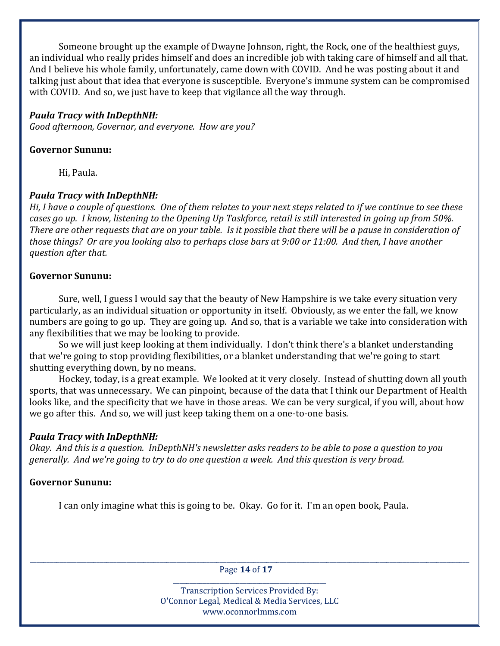Someone brought up the example of Dwayne Johnson, right, the Rock, one of the healthiest guys, an individual who really prides himself and does an incredible job with taking care of himself and all that. And I believe his whole family, unfortunately, came down with COVID. And he was posting about it and talking just about that idea that everyone is susceptible. Everyone's immune system can be compromised with COVID. And so, we just have to keep that vigilance all the way through.

## *Paula Tracy with InDepthNH:*

*Good afternoon, Governor, and everyone. How are you?*

## **Governor Sununu:**

Hi, Paula.

# *Paula Tracy with InDepthNH:*

Hi, I have a couple of questions. One of them relates to your next steps related to if we continue to see these cases go up. I know, listening to the Opening Up Taskforce, retail is still interested in going up from 50%. There are other requests that are on your table. Is it possible that there will be a pause in consideration of those things? Or are you looking also to perhaps close bars at 9:00 or 11:00. And then, I have another *question after that.*

## **Governor Sununu:**

 Sure, well, I guess I would say that the beauty of New Hampshire is we take every situation very particularly, as an individual situation or opportunity in itself. Obviously, as we enter the fall, we know numbers are going to go up. They are going up. And so, that is a variable we take into consideration with any flexibilities that we may be looking to provide.

 So we will just keep looking at them individually. I don't think there's a blanket understanding that we're going to stop providing flexibilities, or a blanket understanding that we're going to start shutting everything down, by no means.

 Hockey, today, is a great example. We looked at it very closely. Instead of shutting down all youth sports, that was unnecessary. We can pinpoint, because of the data that I think our Department of Health looks like, and the specificity that we have in those areas. We can be very surgical, if you will, about how we go after this. And so, we will just keep taking them on a one-to-one basis.

# *Paula Tracy with InDepthNH:*

Okay. And this is a question. InDepthNH's newsletter asks readers to be able to pose a question to you generally. And we're going to try to do one question a week. And this question is very broad.

# **Governor Sununu:**

I can only imagine what this is going to be. Okay. Go for it. I'm an open book, Paula.

\_\_\_\_\_\_\_\_\_\_\_\_\_\_\_\_\_\_\_\_\_\_\_\_\_\_\_\_\_\_\_\_\_\_\_\_\_\_\_\_\_\_\_\_\_\_\_\_\_\_\_\_\_\_\_\_\_\_\_\_\_\_\_\_\_\_\_\_\_\_\_\_\_\_\_\_\_\_\_\_\_\_\_\_\_\_\_\_\_\_\_\_\_\_\_\_\_\_\_\_\_\_\_\_\_\_\_\_\_\_\_\_\_\_\_\_\_\_\_\_\_\_\_\_\_\_\_\_\_\_\_\_ Page **14** of **17**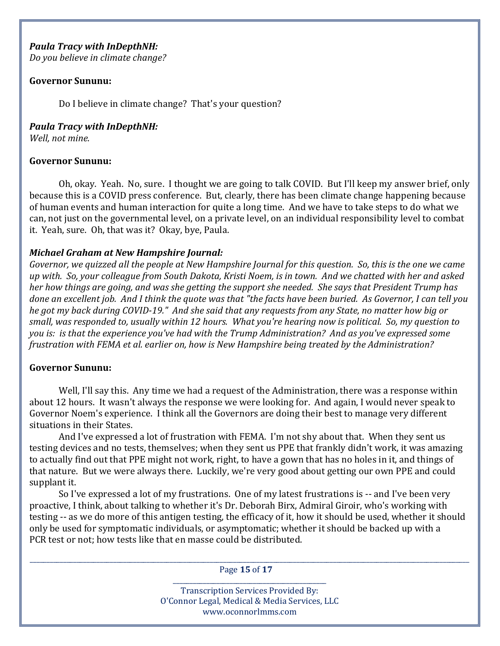### *Paula Tracy with InDepthNH:*

*Do you believe in climate change?*

### **Governor Sununu:**

Do I believe in climate change? That's your question?

*Paula Tracy with InDepthNH:*

*Well, not mine.*

### **Governor Sununu:**

 Oh, okay. Yeah. No, sure. I thought we are going to talk COVID. But I'll keep my answer brief, only because this is a COVID press conference. But, clearly, there has been climate change happening because of human events and human interaction for quite a long time. And we have to take steps to do what we can, not just on the governmental level, on a private level, on an individual responsibility level to combat it. Yeah, sure. Oh, that was it? Okay, bye, Paula.

### *Michael Graham at New Hampshire Journal:*

Governor, we quizzed all the people at New Hampshire Journal for this question. So, this is the one we came up with. So, your colleague from South Dakota, Kristi Noem, is in town. And we chatted with her and asked her how things are going, and was she getting the support she needed. She says that President Trump has done an excellent job. And I think the quote was that "the facts have been buried. As Governor, I can tell you he got my back during COVID-19." And she said that any requests from any State, no matter how big or small, was responded to, usually within 12 hours. What you're hearing now is political. So, my question to you is: is that the experience you've had with the Trump Administration? And as you've expressed some *frustration with FEMA et al. earlier on, how is New Hampshire being treated by the Administration?*

#### **Governor Sununu:**

Well, I'll say this. Any time we had a request of the Administration, there was a response within about 12 hours. It wasn't always the response we were looking for. And again, I would never speak to Governor Noem's experience. I think all the Governors are doing their best to manage very different situations in their States.

 And I've expressed a lot of frustration with FEMA. I'm not shy about that. When they sent us testing devices and no tests, themselves; when they sent us PPE that frankly didn't work, it was amazing to actually find out that PPE might not work, right, to have a gown that has no holes in it, and things of that nature. But we were always there. Luckily, we're very good about getting our own PPE and could supplant it.

 So I've expressed a lot of my frustrations. One of my latest frustrations is -- and I've been very proactive, I think, about talking to whether it's Dr. Deborah Birx, Admiral Giroir, who's working with testing -- as we do more of this antigen testing, the efficacy of it, how it should be used, whether it should only be used for symptomatic individuals, or asymptomatic; whether it should be backed up with a PCR test or not; how tests like that en masse could be distributed.

\_\_\_\_\_\_\_\_\_\_\_\_\_\_\_\_\_\_\_\_\_\_\_\_\_\_\_\_\_\_\_\_\_\_\_\_\_\_\_\_\_\_\_\_\_\_\_\_\_\_\_\_\_\_\_\_\_\_\_\_\_\_\_\_\_\_\_\_\_\_\_\_\_\_\_\_\_\_\_\_\_\_\_\_\_\_\_\_\_\_\_\_\_\_\_\_\_\_\_\_\_\_\_\_\_\_\_\_\_\_\_\_\_\_\_\_\_\_\_\_\_\_\_\_\_\_\_\_\_\_\_\_ Page **15** of **17** \_\_\_\_\_\_\_\_\_\_\_\_\_\_\_\_\_\_\_\_\_\_\_\_\_\_\_\_\_\_\_\_\_\_\_\_\_\_\_\_\_\_\_\_\_\_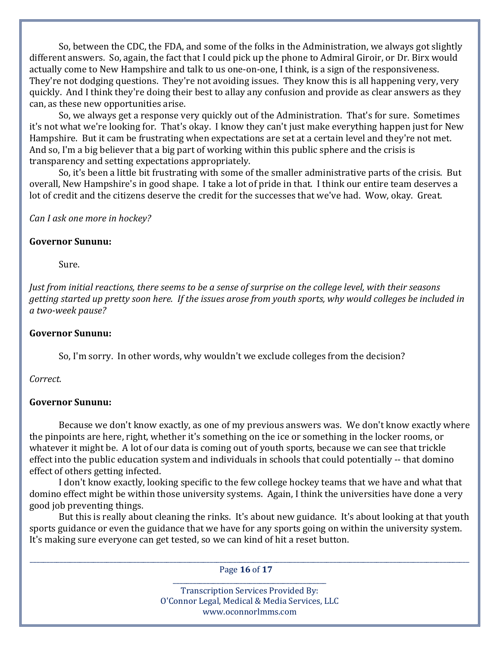So, between the CDC, the FDA, and some of the folks in the Administration, we always got slightly different answers. So, again, the fact that I could pick up the phone to Admiral Giroir, or Dr. Birx would actually come to New Hampshire and talk to us one-on-one, I think, is a sign of the responsiveness. They're not dodging questions. They're not avoiding issues. They know this is all happening very, very quickly. And I think they're doing their best to allay any confusion and provide as clear answers as they can, as these new opportunities arise.

 So, we always get a response very quickly out of the Administration. That's for sure. Sometimes it's not what we're looking for. That's okay. I know they can't just make everything happen just for New Hampshire. But it cam be frustrating when expectations are set at a certain level and they're not met. And so, I'm a big believer that a big part of working within this public sphere and the crisis is transparency and setting expectations appropriately.

 So, it's been a little bit frustrating with some of the smaller administrative parts of the crisis. But overall, New Hampshire's in good shape. I take a lot of pride in that. I think our entire team deserves a lot of credit and the citizens deserve the credit for the successes that we've had. Wow, okay. Great.

*Can I ask one more in hockey?*

### **Governor Sununu:**

Sure.

Just from initial reactions, there seems to be a sense of surprise on the college level, with their seasons getting started up pretty soon here. If the issues arose from youth sports, why would colleges be included in *a two‐week pause?*

### **Governor Sununu:**

So, I'm sorry. In other words, why wouldn't we exclude colleges from the decision?

### *Correct.*

### **Governor Sununu:**

 Because we don't know exactly, as one of my previous answers was. We don't know exactly where the pinpoints are here, right, whether it's something on the ice or something in the locker rooms, or whatever it might be. A lot of our data is coming out of youth sports, because we can see that trickle effect into the public education system and individuals in schools that could potentially -- that domino effect of others getting infected.

 I don't know exactly, looking specific to the few college hockey teams that we have and what that domino effect might be within those university systems. Again, I think the universities have done a very good job preventing things.

 But this is really about cleaning the rinks. It's about new guidance. It's about looking at that youth sports guidance or even the guidance that we have for any sports going on within the university system. It's making sure everyone can get tested, so we can kind of hit a reset button.

\_\_\_\_\_\_\_\_\_\_\_\_\_\_\_\_\_\_\_\_\_\_\_\_\_\_\_\_\_\_\_\_\_\_\_\_\_\_\_\_\_\_\_\_\_\_\_\_\_\_\_\_\_\_\_\_\_\_\_\_\_\_\_\_\_\_\_\_\_\_\_\_\_\_\_\_\_\_\_\_\_\_\_\_\_\_\_\_\_\_\_\_\_\_\_\_\_\_\_\_\_\_\_\_\_\_\_\_\_\_\_\_\_\_\_\_\_\_\_\_\_\_\_\_\_\_\_\_\_\_\_\_ Page **16** of **17**